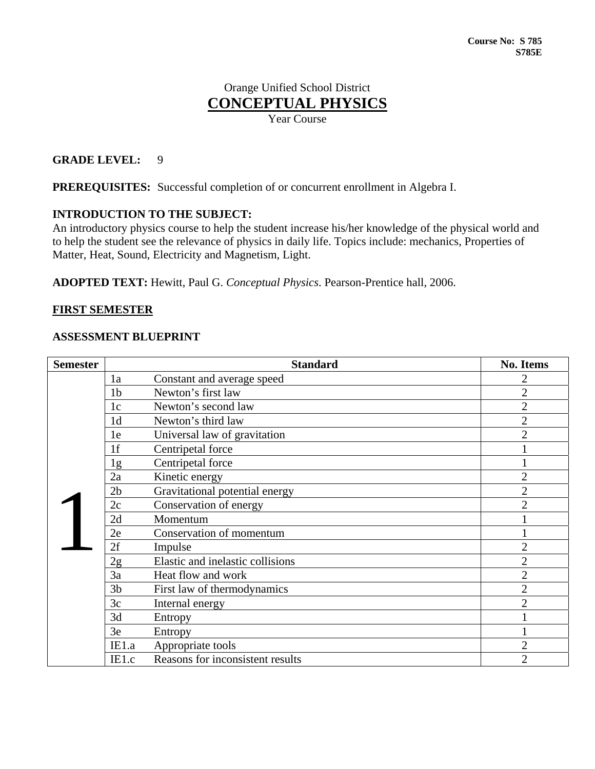# Orange Unified School District **CONCEPTUAL PHYSICS**

Year Course

# **GRADE LEVEL:** 9

**PREREQUISITES:** Successful completion of or concurrent enrollment in Algebra I.

# **INTRODUCTION TO THE SUBJECT:**

An introductory physics course to help the student increase his/her knowledge of the physical world and to help the student see the relevance of physics in daily life. Topics include: mechanics, Properties of Matter, Heat, Sound, Electricity and Magnetism, Light.

**ADOPTED TEXT:** Hewitt, Paul G. *Conceptual Physics*. Pearson-Prentice hall, 2006.

## **FIRST SEMESTER**

#### **ASSESSMENT BLUEPRINT**

| <b>Semester</b> |                | <b>Standard</b>                  | <b>No. Items</b> |
|-----------------|----------------|----------------------------------|------------------|
|                 | 1a             | Constant and average speed       | 2                |
|                 | 1 <sub>b</sub> | Newton's first law               | $\overline{2}$   |
|                 | 1 <sub>c</sub> | Newton's second law              | $\overline{2}$   |
|                 | 1 <sub>d</sub> | Newton's third law               | $\overline{2}$   |
|                 | 1e             | Universal law of gravitation     | $\overline{2}$   |
|                 | 1f             | Centripetal force                |                  |
|                 | 1g             | Centripetal force                |                  |
|                 | 2a             | Kinetic energy                   | $\overline{2}$   |
|                 | 2 <sub>b</sub> | Gravitational potential energy   | $\overline{2}$   |
|                 | 2c             | Conservation of energy           | $\overline{2}$   |
|                 | 2d             | Momentum                         |                  |
|                 | 2e             | Conservation of momentum         |                  |
|                 | 2f             | Impulse                          | $\overline{2}$   |
|                 | 2g             | Elastic and inelastic collisions | $\overline{2}$   |
|                 | 3a             | Heat flow and work               | $\overline{2}$   |
|                 | 3 <sub>b</sub> | First law of thermodynamics      | $\overline{2}$   |
|                 | 3c             | Internal energy                  | $\overline{2}$   |
|                 | 3d             | Entropy                          |                  |
|                 | 3e             | Entropy                          |                  |
|                 | IE1.a          | Appropriate tools                | $\overline{2}$   |
|                 | IE1.c          | Reasons for inconsistent results | $\overline{2}$   |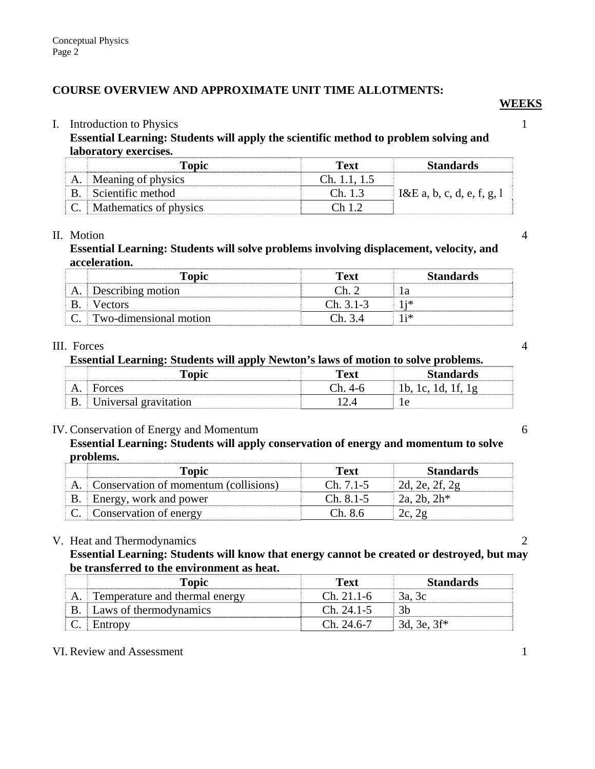# **COURSE OVERVIEW AND APPROXIMATE UNIT TIME ALLOTMENTS:**

#### I. Introduction to Physics 1

**Essential Learning: Students will apply the scientific method to problem solving and laboratory exercises.** 

| <b>Topic</b>                  | <b>Text</b>    | <b>Standards</b>           |
|-------------------------------|----------------|----------------------------|
| Meaning of physics            | Ch. $1.1, 1.5$ |                            |
| B. Scientific method          | Ch. 1.3        | I&E a, b, c, d, e, f, g, l |
| <b>Mathematics of physics</b> | Ch 1.2         |                            |

*WEEKS* 

#### II. Motion 4

## **Essential Learning: Students will solve problems involving displacement, velocity, and acceleration.**

| Topic                  | Text        | <b>Standards</b> |
|------------------------|-------------|------------------|
| Describing motion      | Դհ          | l a              |
| <b>Vectors</b>         | $Ch. 3.1-3$ |                  |
| Two-dimensional motion | Ch 34       | 1 i *            |

#### III. Forces 4

**Essential Learning: Students will apply Newton's laws of motion to solve problems.** 

|           | <b>Topic</b>          | <b>Text</b> | <b>Standards</b> |
|-----------|-----------------------|-------------|------------------|
| A.        | Forces                | Դհ          | 1b, 1c, 1d, 1f,  |
| <b>B.</b> | Universal gravitation |             |                  |

## IV. Conservation of Energy and Momentum 6

# **Essential Learning: Students will apply conservation of energy and momentum to solve problems.**

| Topic                                    | Text        | <b>Standards</b> |
|------------------------------------------|-------------|------------------|
| A. Conservation of momentum (collisions) | $Ch. 7.1-5$ | 2d, 2e, 2f, 2g   |
| B. Energy, work and power                | $Ch. 8.1-5$ | $2a, 2b, 2h^*$   |
| C. Conservation of energy                | Ch. 8.6     | 2c, 2g           |

## V. Heat and Thermodynamics 2

## **Essential Learning: Students will know that energy cannot be created or destroyed, but may be transferred to the environment as heat.**

| Topic                          | Text         | <b>Standards</b> |
|--------------------------------|--------------|------------------|
| Temperature and thermal energy | $Ch. 21.1-6$ | 3a, 3c           |
| Laws of thermodynamics         | $Ch. 24.1-5$ | 3h               |
| Entropy                        | $Ch$ 24.6-7  | 3d, 3e, $3f^*$   |

## VI. Review and Assessment 1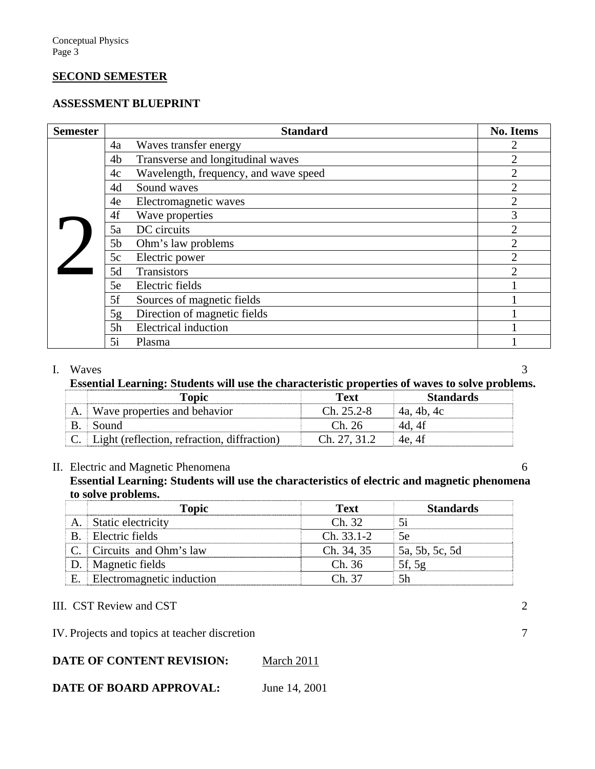#### **SECOND SEMESTER**

## **ASSESSMENT BLUEPRINT**

| <b>Semester</b> | <b>Standard</b>                             | <b>No. Items</b> |
|-----------------|---------------------------------------------|------------------|
|                 | Waves transfer energy<br>4a                 |                  |
|                 | Transverse and longitudinal waves<br>4b     | 2                |
|                 | Wavelength, frequency, and wave speed<br>4c | $\mathfrak{D}$   |
|                 | Sound waves<br>4d                           | $\mathfrak{D}$   |
|                 | Electromagnetic waves<br>4e                 | 2                |
|                 | Wave properties<br>4f                       | 3                |
|                 | DC circuits<br>5a                           | 2                |
|                 | 5b<br>Ohm's law problems                    | っ                |
|                 | 5c<br>Electric power                        | っ                |
|                 | 5d<br><b>Transistors</b>                    |                  |
|                 | Electric fields<br>5e                       |                  |
|                 | 5f<br>Sources of magnetic fields            |                  |
|                 | Direction of magnetic fields<br>5g          |                  |
|                 | <b>Electrical induction</b><br>5h           |                  |
|                 | 5i<br>Plasma                                |                  |

#### I. Waves 3

# **Essential Learning: Students will use the characteristic properties of waves to solve problems.**

| Topic                                          | Text         | <b>Standards</b> |  |
|------------------------------------------------|--------------|------------------|--|
| Wave properties and behavior                   | $Ch. 25.2-8$ | 4a, 4b, 4c       |  |
| Sound                                          | Ch. 26       | 4d. 4f           |  |
| C. Light (reflection, refraction, diffraction) | Ch. 27, 31.2 | 4e, 4f           |  |

#### II. Electric and Magnetic Phenomena 6

**Essential Learning: Students will use the characteristics of electric and magnetic phenomena to solve problems.** 

|    | <b>Topic</b>              | <b>Text</b> | <b>Standards</b> |
|----|---------------------------|-------------|------------------|
|    | Static electricity        | Ch. 32      | 5i               |
|    | Electric fields           | Ch. 33.1-2  | 5e               |
|    | C. Circuits and Ohm's law | Ch. 34, 35  | 5a, 5b, 5c, 5d   |
|    | D.   Magnetic fields      | Ch. 36      | 5f, 5g           |
| Е. | Electromagnetic induction | $Ch$ 37     | 5h               |

III. CST Review and CST 2

IV. Projects and topics at teacher discretion 7

# **DATE OF CONTENT REVISION:** March 2011

# **DATE OF BOARD APPROVAL:** June 14, 2001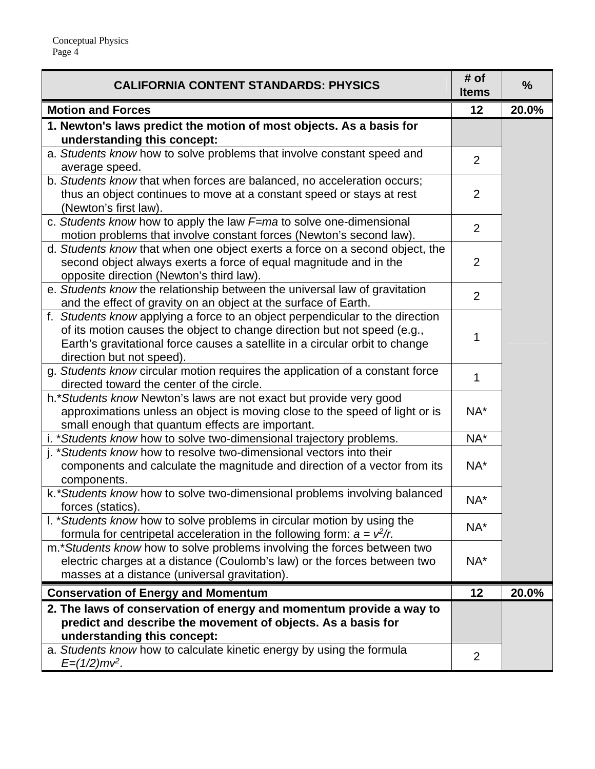| <b>CALIFORNIA CONTENT STANDARDS: PHYSICS</b>                                                                                                                                                                                                                           | # of<br><b>Items</b> | $\frac{0}{0}$ |
|------------------------------------------------------------------------------------------------------------------------------------------------------------------------------------------------------------------------------------------------------------------------|----------------------|---------------|
| <b>Motion and Forces</b>                                                                                                                                                                                                                                               | 12                   | 20.0%         |
| 1. Newton's laws predict the motion of most objects. As a basis for<br>understanding this concept:                                                                                                                                                                     |                      |               |
| a. Students know how to solve problems that involve constant speed and<br>average speed.                                                                                                                                                                               | $\overline{2}$       |               |
| b. Students know that when forces are balanced, no acceleration occurs;<br>thus an object continues to move at a constant speed or stays at rest<br>(Newton's first law).                                                                                              | $\overline{2}$       |               |
| c. Students know how to apply the law F=ma to solve one-dimensional<br>motion problems that involve constant forces (Newton's second law).                                                                                                                             | $\overline{2}$       |               |
| d. Students know that when one object exerts a force on a second object, the<br>second object always exerts a force of equal magnitude and in the<br>opposite direction (Newton's third law).                                                                          | $\overline{2}$       |               |
| e. Students know the relationship between the universal law of gravitation<br>and the effect of gravity on an object at the surface of Earth.                                                                                                                          | $\overline{2}$       |               |
| f. Students know applying a force to an object perpendicular to the direction<br>of its motion causes the object to change direction but not speed (e.g.,<br>Earth's gravitational force causes a satellite in a circular orbit to change<br>direction but not speed). | 1                    |               |
| g. Students know circular motion requires the application of a constant force<br>directed toward the center of the circle.                                                                                                                                             | 1                    |               |
| h.* Students know Newton's laws are not exact but provide very good<br>approximations unless an object is moving close to the speed of light or is<br>small enough that quantum effects are important.                                                                 | NA*                  |               |
| i. *Students know how to solve two-dimensional trajectory problems.                                                                                                                                                                                                    | NA*                  |               |
| j. *Students know how to resolve two-dimensional vectors into their<br>components and calculate the magnitude and direction of a vector from its<br>components.                                                                                                        | NA*                  |               |
| k. *Students know how to solve two-dimensional problems involving balanced<br>forces (statics).                                                                                                                                                                        | NA*                  |               |
| I. *Students know how to solve problems in circular motion by using the<br>formula for centripetal acceleration in the following form: $a = v^2/r$ .                                                                                                                   | NA*                  |               |
| m.* Students know how to solve problems involving the forces between two<br>electric charges at a distance (Coulomb's law) or the forces between two<br>masses at a distance (universal gravitation).                                                                  | NA*                  |               |
| <b>Conservation of Energy and Momentum</b>                                                                                                                                                                                                                             | 12                   | 20.0%         |
| 2. The laws of conservation of energy and momentum provide a way to<br>predict and describe the movement of objects. As a basis for<br>understanding this concept:                                                                                                     |                      |               |
| a. Students know how to calculate kinetic energy by using the formula<br>$E=(1/2)mv^2$ .                                                                                                                                                                               | 2                    |               |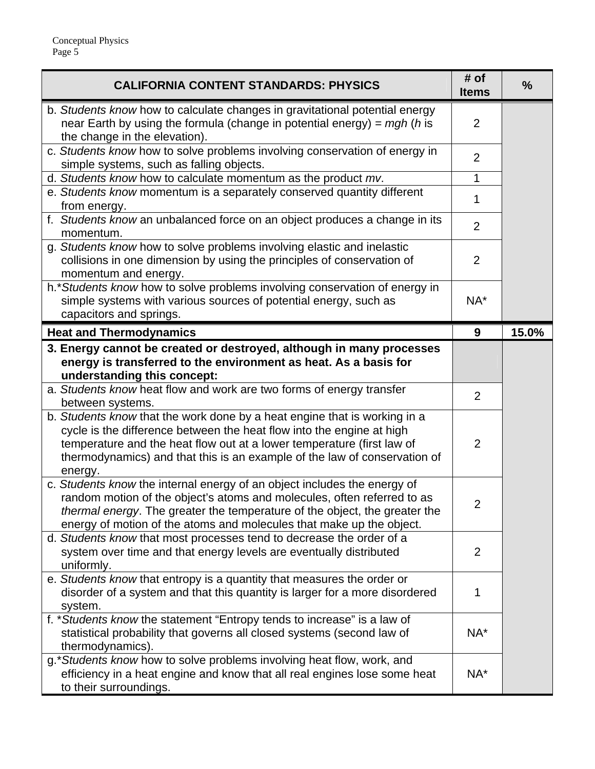| <b>CALIFORNIA CONTENT STANDARDS: PHYSICS</b>                                                                                                                                                                                                                                                                         | # of<br><b>Items</b> | $\frac{0}{0}$ |
|----------------------------------------------------------------------------------------------------------------------------------------------------------------------------------------------------------------------------------------------------------------------------------------------------------------------|----------------------|---------------|
| b. Students know how to calculate changes in gravitational potential energy<br>near Earth by using the formula (change in potential energy) = $mgh$ (h is<br>the change in the elevation).                                                                                                                           | $\overline{2}$       |               |
| c. Students know how to solve problems involving conservation of energy in<br>simple systems, such as falling objects.                                                                                                                                                                                               | $\overline{2}$       |               |
| d. Students know how to calculate momentum as the product mv.                                                                                                                                                                                                                                                        | 1                    |               |
| e. Students know momentum is a separately conserved quantity different<br>from energy.                                                                                                                                                                                                                               | 1                    |               |
| f. Students know an unbalanced force on an object produces a change in its<br>momentum.                                                                                                                                                                                                                              | $\overline{2}$       |               |
| g. Students know how to solve problems involving elastic and inelastic<br>collisions in one dimension by using the principles of conservation of<br>momentum and energy.                                                                                                                                             | $\overline{2}$       |               |
| h.* Students know how to solve problems involving conservation of energy in<br>simple systems with various sources of potential energy, such as<br>capacitors and springs.                                                                                                                                           | NA*                  |               |
| <b>Heat and Thermodynamics</b>                                                                                                                                                                                                                                                                                       | 9                    | 15.0%         |
| 3. Energy cannot be created or destroyed, although in many processes<br>energy is transferred to the environment as heat. As a basis for<br>understanding this concept:                                                                                                                                              |                      |               |
| a. Students know heat flow and work are two forms of energy transfer<br>between systems.                                                                                                                                                                                                                             | $\overline{2}$       |               |
| b. Students know that the work done by a heat engine that is working in a<br>cycle is the difference between the heat flow into the engine at high<br>temperature and the heat flow out at a lower temperature (first law of<br>thermodynamics) and that this is an example of the law of conservation of<br>energy. | $\overline{2}$       |               |
| c. Students know the internal energy of an object includes the energy of<br>random motion of the object's atoms and molecules, often referred to as<br>thermal energy. The greater the temperature of the object, the greater the<br>energy of motion of the atoms and molecules that make up the object.            | $\overline{2}$       |               |
| d. Students know that most processes tend to decrease the order of a<br>system over time and that energy levels are eventually distributed<br>uniformly.                                                                                                                                                             | $\overline{2}$       |               |
| e. Students know that entropy is a quantity that measures the order or<br>disorder of a system and that this quantity is larger for a more disordered<br>system.                                                                                                                                                     | 1                    |               |
| f. *Students know the statement "Entropy tends to increase" is a law of<br>statistical probability that governs all closed systems (second law of<br>thermodynamics).                                                                                                                                                | NA*                  |               |
| g.*Students know how to solve problems involving heat flow, work, and<br>efficiency in a heat engine and know that all real engines lose some heat<br>to their surroundings.                                                                                                                                         | NA*                  |               |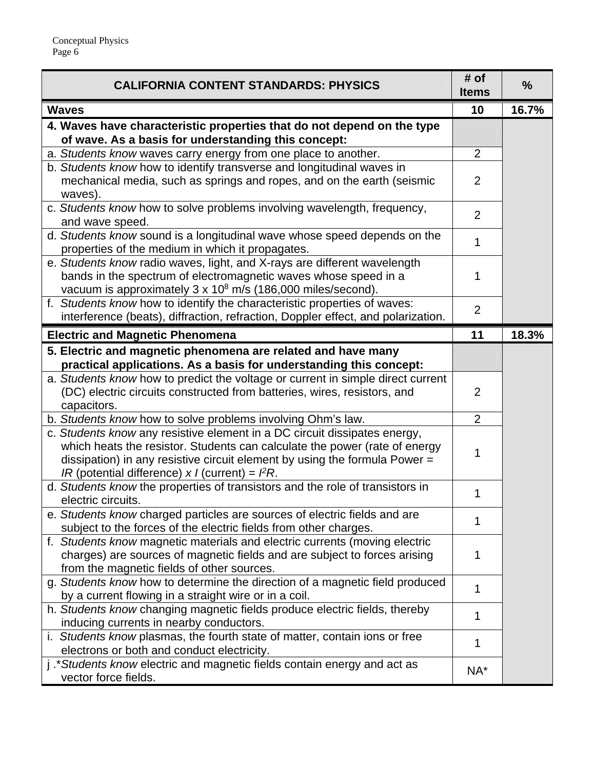| <b>CALIFORNIA CONTENT STANDARDS: PHYSICS</b>                                                                                                                                                                                                                                              | # of<br><b>Items</b> | $\frac{0}{0}$ |
|-------------------------------------------------------------------------------------------------------------------------------------------------------------------------------------------------------------------------------------------------------------------------------------------|----------------------|---------------|
| <b>Waves</b>                                                                                                                                                                                                                                                                              | 10                   | 16.7%         |
| 4. Waves have characteristic properties that do not depend on the type<br>of wave. As a basis for understanding this concept:                                                                                                                                                             |                      |               |
| a. Students know waves carry energy from one place to another.                                                                                                                                                                                                                            | $\overline{2}$       |               |
| b. Students know how to identify transverse and longitudinal waves in                                                                                                                                                                                                                     |                      |               |
| mechanical media, such as springs and ropes, and on the earth (seismic<br>waves).                                                                                                                                                                                                         | 2                    |               |
| c. Students know how to solve problems involving wavelength, frequency,<br>and wave speed.                                                                                                                                                                                                | 2                    |               |
| d. Students know sound is a longitudinal wave whose speed depends on the<br>properties of the medium in which it propagates.                                                                                                                                                              | 1                    |               |
| e. Students know radio waves, light, and X-rays are different wavelength<br>bands in the spectrum of electromagnetic waves whose speed in a<br>vacuum is approximately 3 x 10 <sup>8</sup> m/s (186,000 miles/second).                                                                    | 1                    |               |
| f. Students know how to identify the characteristic properties of waves:<br>interference (beats), diffraction, refraction, Doppler effect, and polarization.                                                                                                                              | $\overline{2}$       |               |
| <b>Electric and Magnetic Phenomena</b>                                                                                                                                                                                                                                                    | 11                   | 18.3%         |
| 5. Electric and magnetic phenomena are related and have many                                                                                                                                                                                                                              |                      |               |
| practical applications. As a basis for understanding this concept:                                                                                                                                                                                                                        |                      |               |
| a. Students know how to predict the voltage or current in simple direct current                                                                                                                                                                                                           |                      |               |
| (DC) electric circuits constructed from batteries, wires, resistors, and                                                                                                                                                                                                                  | 2                    |               |
| capacitors.                                                                                                                                                                                                                                                                               |                      |               |
| b. Students know how to solve problems involving Ohm's law.                                                                                                                                                                                                                               | $\overline{2}$       |               |
| c. Students know any resistive element in a DC circuit dissipates energy,<br>which heats the resistor. Students can calculate the power (rate of energy<br>dissipation) in any resistive circuit element by using the formula Power =<br>IR (potential difference) x I (current) = $PR$ . | 1                    |               |
| d. Students know the properties of transistors and the role of transistors in<br>electric circuits.                                                                                                                                                                                       | 1                    |               |
| e. Students know charged particles are sources of electric fields and are<br>subject to the forces of the electric fields from other charges.                                                                                                                                             | 1                    |               |
| f. Students know magnetic materials and electric currents (moving electric<br>charges) are sources of magnetic fields and are subject to forces arising<br>from the magnetic fields of other sources.                                                                                     | 1                    |               |
| g. Students know how to determine the direction of a magnetic field produced                                                                                                                                                                                                              | 1                    |               |
| by a current flowing in a straight wire or in a coil.                                                                                                                                                                                                                                     |                      |               |
| h. Students know changing magnetic fields produce electric fields, thereby<br>inducing currents in nearby conductors.                                                                                                                                                                     | 1                    |               |
| i. Students know plasmas, the fourth state of matter, contain ions or free<br>electrons or both and conduct electricity.                                                                                                                                                                  | 1                    |               |
| j.*Students know electric and magnetic fields contain energy and act as<br>vector force fields.                                                                                                                                                                                           | NA*                  |               |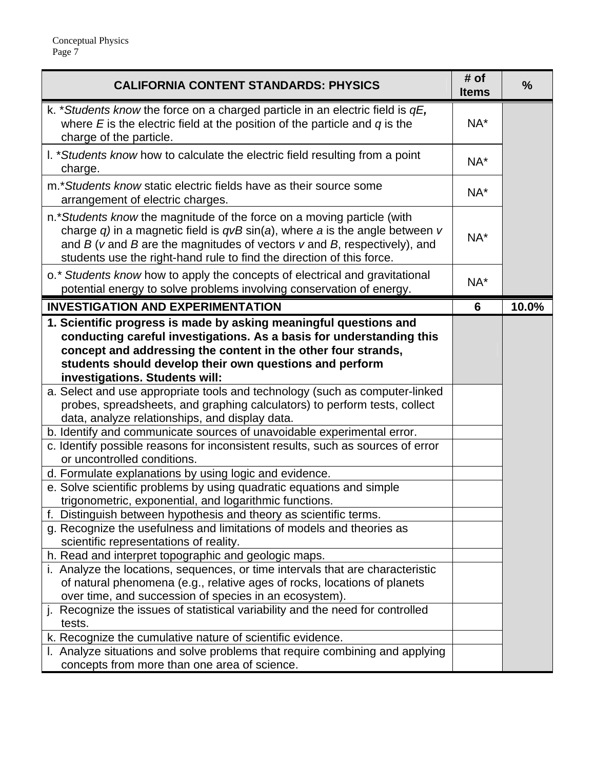| <b>CALIFORNIA CONTENT STANDARDS: PHYSICS</b>                                                                                                                                                                                                                                                                                                                                                                                                                        | # of<br><b>Items</b> | $\frac{0}{0}$ |
|---------------------------------------------------------------------------------------------------------------------------------------------------------------------------------------------------------------------------------------------------------------------------------------------------------------------------------------------------------------------------------------------------------------------------------------------------------------------|----------------------|---------------|
| k. *Students know the force on a charged particle in an electric field is $qE$ ,<br>where $E$ is the electric field at the position of the particle and $q$ is the<br>charge of the particle.                                                                                                                                                                                                                                                                       | NA*                  |               |
| I. *Students know how to calculate the electric field resulting from a point<br>charge.                                                                                                                                                                                                                                                                                                                                                                             | NA*                  |               |
| m.*Students know static electric fields have as their source some<br>arrangement of electric charges.                                                                                                                                                                                                                                                                                                                                                               | NA*                  |               |
| n.* Students know the magnitude of the force on a moving particle (with<br>charge q) in a magnetic field is $qvB\sin(a)$ , where a is the angle between v<br>and $B$ ( $v$ and $B$ are the magnitudes of vectors $v$ and $B$ , respectively), and<br>students use the right-hand rule to find the direction of this force.                                                                                                                                          | NA*                  |               |
| o. * Students know how to apply the concepts of electrical and gravitational<br>potential energy to solve problems involving conservation of energy.                                                                                                                                                                                                                                                                                                                | NA*                  |               |
| <b>INVESTIGATION AND EXPERIMENTATION</b>                                                                                                                                                                                                                                                                                                                                                                                                                            | 6                    | 10.0%         |
| 1. Scientific progress is made by asking meaningful questions and<br>conducting careful investigations. As a basis for understanding this<br>concept and addressing the content in the other four strands,<br>students should develop their own questions and perform<br>investigations. Students will:<br>a. Select and use appropriate tools and technology (such as computer-linked<br>probes, spreadsheets, and graphing calculators) to perform tests, collect |                      |               |
| data, analyze relationships, and display data.<br>b. Identify and communicate sources of unavoidable experimental error.<br>c. Identify possible reasons for inconsistent results, such as sources of error                                                                                                                                                                                                                                                         |                      |               |
| or uncontrolled conditions.<br>d. Formulate explanations by using logic and evidence.<br>e. Solve scientific problems by using quadratic equations and simple                                                                                                                                                                                                                                                                                                       |                      |               |
| trigonometric, exponential, and logarithmic functions.<br>Distinguish between hypothesis and theory as scientific terms.<br>g. Recognize the usefulness and limitations of models and theories as<br>scientific representations of reality.                                                                                                                                                                                                                         |                      |               |
| h. Read and interpret topographic and geologic maps.<br>i. Analyze the locations, sequences, or time intervals that are characteristic<br>of natural phenomena (e.g., relative ages of rocks, locations of planets<br>over time, and succession of species in an ecosystem).                                                                                                                                                                                        |                      |               |
| j. Recognize the issues of statistical variability and the need for controlled<br>tests.<br>k. Recognize the cumulative nature of scientific evidence.                                                                                                                                                                                                                                                                                                              |                      |               |
| I. Analyze situations and solve problems that require combining and applying<br>concepts from more than one area of science.                                                                                                                                                                                                                                                                                                                                        |                      |               |